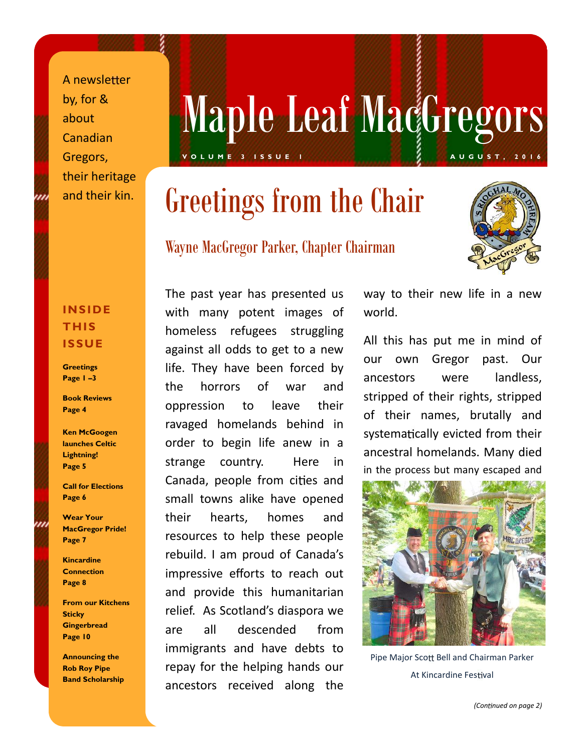A newsletter by, for & about Canadian Gregors, their heritage and their kin.

# Maple Leaf MacGregors **VIA PIC LCAL MAYOI COU S**

# Greetings from the Chair

### Wayne MacGregor Parker, Chapter Chairman



### **INSIDE THIS ISSUE**

**Greetings Page 1 –3**

**Book Reviews Page 4**

**Ken McGoogen launches Celtic Lightning! Page 5**

**Call for Elections Page 6**

**Wear Your MacGregor Pride! Page 7**

**Kincardine Connection Page 8**

**From our Kitchens Sticky Gingerbread Page 10**

**Announcing the Rob Roy Pipe Band Scholarship**

The past year has presented us with many potent images of homeless refugees struggling against all odds to get to a new<br>our own life. They have been forced by  $\frac{3}{\pi}$  ancestors the horrors of war and oppression to leave their ravaged homelands behind in order to begin life anew in a strange country. Here in Canada, people from cities and small towns alike have opened their hearts, homes and resources to help these people rebuild. I am proud of Canada's impressive efforts to reach out and provide this humanitarian relief. As Scotland's diaspora we are all descended from immigrants and have debts to repay for the helping hands our ancestors received along the

way to their new life in a new world.

All this has put me in mind of Gregor past. Our were landless. stripped of their rights, stripped of their names, brutally and systematically evicted from their ancestral homelands. Many died in the process but many escaped and



Pipe Major Scott Bell and Chairman Parker At Kincardine Festival

*(Con nued on page 2)*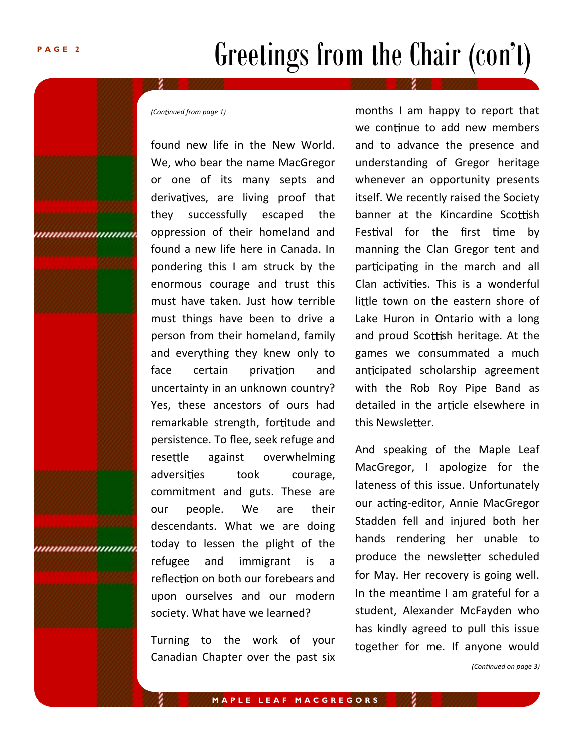## Greetings from the Chair (con't)

*(Con nued from page 1)*

found new life in the New World. We, who bear the name MacGregor or one of its many septs and derivatives, are living proof that they successfully escaped the oppression of their homeland and found a new life here in Canada. In pondering this I am struck by the enormous courage and trust this must have taken. Just how terrible must things have been to drive a person from their homeland, family and everything they knew only to face certain privation and uncertainty in an unknown country? Yes, these ancestors of ours had remarkable strength, fortitude and persistence. To flee, seek refuge and resettle against overwhelming adversities took courage, commitment and guts. These are our people. We are their descendants. What we are doing today to lessen the plight of the refugee and immigrant is a reflection on both our forebears and upon ourselves and our modern society. What have we learned?

Turning to the work of your Canadian Chapter over the past six months I am happy to report that we continue to add new members and to advance the presence and understanding of Gregor heritage whenever an opportunity presents itself. We recently raised the Society banner at the Kincardine Scottish Festival for the first time by manning the Clan Gregor tent and participating in the march and all Clan activities. This is a wonderful little town on the eastern shore of Lake Huron in Ontario with a long and proud Scottish heritage. At the games we consummated a much anticipated scholarship agreement with the Rob Roy Pipe Band as detailed in the article elsewhere in this Newsletter.

And speaking of the Maple Leaf MacGregor, I apologize for the lateness of this issue. Unfortunately our acting-editor, Annie MacGregor Stadden fell and injured both her hands rendering her unable to produce the newsletter scheduled for May. Her recovery is going well. In the meantime I am grateful for a student, Alexander McFayden who has kindly agreed to pull this issue together for me. If anyone would

*(Con nued on page 3)*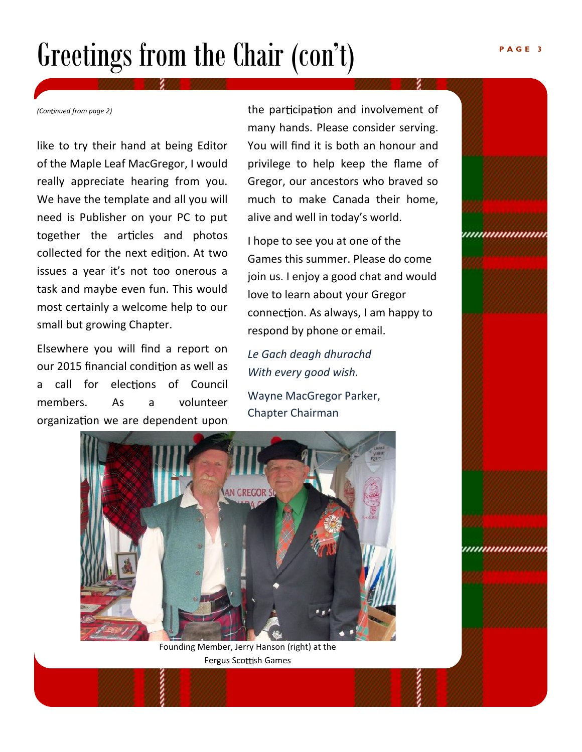# Greetings from the Chair (con't)

*(Con nued from page 2)*

like to try their hand at being Editor of the Maple Leaf MacGregor, I would really appreciate hearing from you. We have the template and all you will need is Publisher on your PC to put together the articles and photos collected for the next edition. At two issues a year it's not too onerous a task and maybe even fun. This would most certainly a welcome help to our small but growing Chapter.

Elsewhere you will find a report on our 2015 financial condition as well as a call for elections of Council members. As a volunteer organization we are dependent upon

the participation and involvement of many hands. Please consider serving. You will find it is both an honour and privilege to help keep the flame of Gregor, our ancestors who braved so much to make Canada their home, alive and well in today's world.

I hope to see you at one of the Games this summer. Please do come join us. I enjoy a good chat and would love to learn about your Gregor connection. As always, I am happy to respond by phone or email.

*Le Gach deagh dhurachd With every good wish.*

Wayne MacGregor Parker, Chapter Chairman



Founding Member, Jerry Hanson (right) at the Fergus Scottish Games

*mmmmmm* 

,,,,,,,,,,,,,,,,,,,,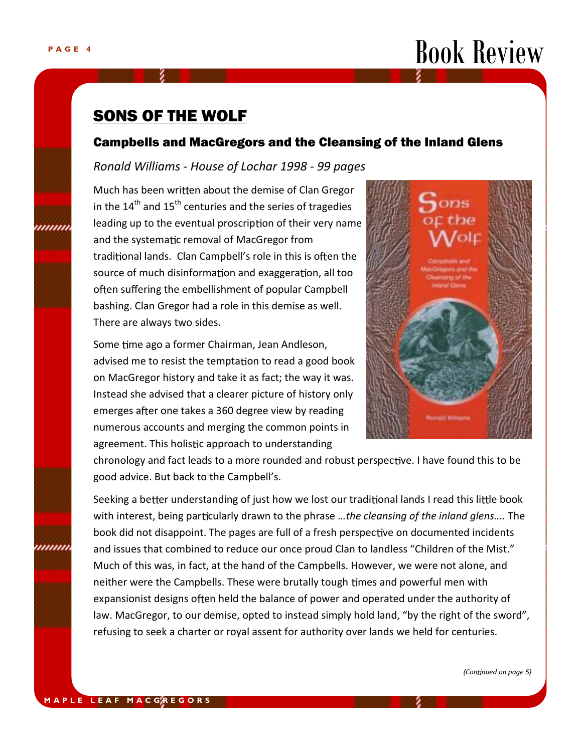

### SONS OF THE WOLF

### Campbells and MacGregors and the Cleansing of the Inland Glens

### *Ronald Williams - House of Lochar 1998 - 99 pages*

Much has been written about the demise of Clan Gregor in the  $14<sup>th</sup>$  and  $15<sup>th</sup>$  centuries and the series of tragedies leading up to the eventual proscription of their very name and the systematic removal of MacGregor from traditional lands. Clan Campbell's role in this is often the source of much disinformation and exaggeration, all too often suffering the embellishment of popular Campbell bashing. Clan Gregor had a role in this demise as well. There are always two sides.

Instead she advised that a clearer picture of history only Some time ago a former Chairman, Jean Andleson, advised me to resist the temptation to read a good book on MacGregor history and take it as fact; the way it was. emerges after one takes a 360 degree view by reading numerous accounts and merging the common points in agreement. This holistic approach to understanding



chronology and fact leads to a more rounded and robust perspective. I have found this to be good advice. But back to the Campbell's.

Seeking a better understanding of just how we lost our traditional lands I read this little book with interest, being particularly drawn to the phrase *...the cleansing of the inland glens...*. The book did not disappoint. The pages are full of a fresh perspective on documented incidents and issues that combined to reduce our once proud Clan to landless "Children of the Mist." Much of this was, in fact, at the hand of the Campbells. However, we were not alone, and neither were the Campbells. These were brutally tough times and powerful men with expansionist designs often held the balance of power and operated under the authority of law. MacGregor, to our demise, opted to instead simply hold land, "by the right of the sword", refusing to seek a charter or royal assent for authority over lands we held for centuries.

*(Con nued on page 5)*

,,,,,,,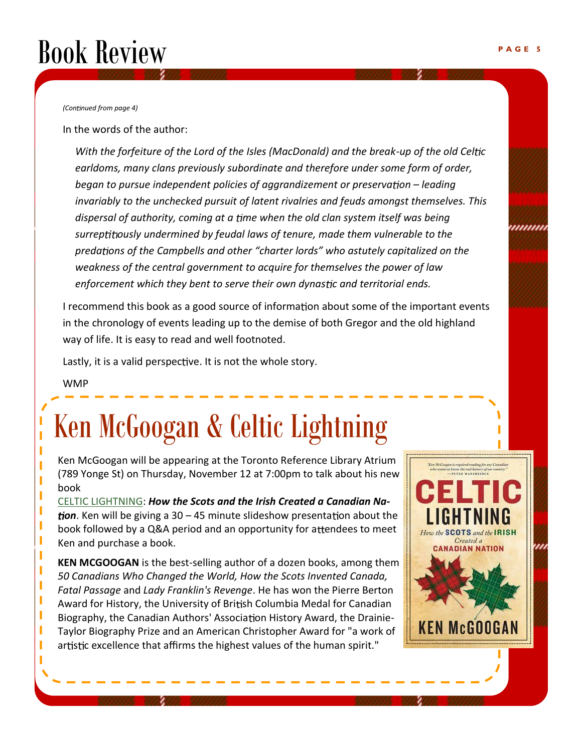# Book Review

*(Con nued from page 4)*

In the words of the author:

With the forfeiture of the Lord of the Isles (MacDonald) and the break-up of the old Celtic *earldoms, many clans previously subordinate and therefore under some form of order, began to pursue independent policies of aggrandizement or preservation – leading invariably to the unchecked pursuit of latent rivalries and feuds amongst themselves. This dispersal of authority, coming at a me when the old clan system itself was being* surreptitiously undermined by feudal laws of tenure, made them vulnerable to the *preda ons of the Campbells and other "charter lords" who astutely capitalized on the weakness of the central government to acquire for themselves the power of law enforcement which they bent to serve their own dynastic and territorial ends.* 

I recommend this book as a good source of information about some of the important events in the chronology of events leading up to the demise of both Gregor and the old highland way of life. It is easy to read and well footnoted.

Lastly, it is a valid perspective. It is not the whole story.

WMP

I I I I I

П

I I I I I I

# Ken McGoogan & Celtic Lightning

Ken McGoogan will be appearing at the Toronto Reference Library Atrium (789 Yonge St) on Thursday, November 12 at 7:00pm to talk about his new book

CELTIC LIGHTNING: *How the Scots and the Irish Created a Canadian Na***tion**. Ken will be giving a 30 – 45 minute slideshow presentation about the book followed by a Q&A period and an opportunity for attendees to meet Ken and purchase a book.

**KEN MCGOOGAN** is the best-selling author of a dozen books, among them *50 Canadians Who Changed the World, How the Scots Invented Canada, Fatal Passage* and *Lady Franklin's Revenge*. He has won the Pierre Berton Award for History, the University of British Columbia Medal for Canadian Biography, the Canadian Authors' Association History Award, the Drainie-Taylor Biography Prize and an American Christopher Award for "a work of artistic excellence that affirms the highest values of the human spirit."



'''''''''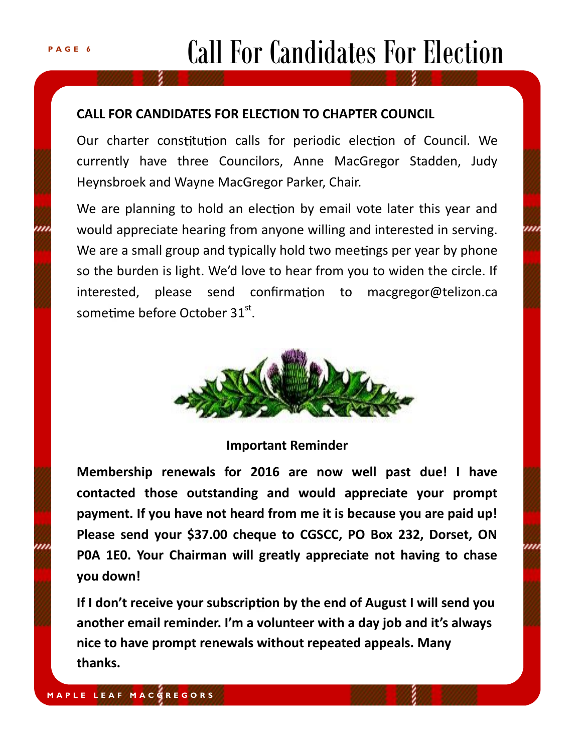# Call For Candidates For Election

### **CALL FOR CANDIDATES FOR ELECTION TO CHAPTER COUNCIL**

Our charter constitution calls for periodic election of Council. We currently have three Councilors, Anne MacGregor Stadden, Judy Heynsbroek and Wayne MacGregor Parker, Chair.

We are planning to hold an election by email vote later this year and would appreciate hearing from anyone willing and interested in serving. We are a small group and typically hold two meetings per year by phone so the burden is light. We'd love to hear from you to widen the circle. If  $interested$ , please send confirmation to macgregor@telizon.ca sometime before October  $31<sup>st</sup>$ .



### **Important Reminder**

**Membership renewals for 2016 are now well past due! I have contacted those outstanding and would appreciate your prompt payment. If you have not heard from me it is because you are paid up! Please send your \$37.00 cheque to CGSCC, PO Box 232, Dorset, ON P0A 1E0. Your Chairman will greatly appreciate not having to chase you down!**

If I don't receive your subscription by the end of August I will send you **another email reminder. I'm a volunteer with a day job and it's always nice to have prompt renewals without repeated appeals. Many thanks.**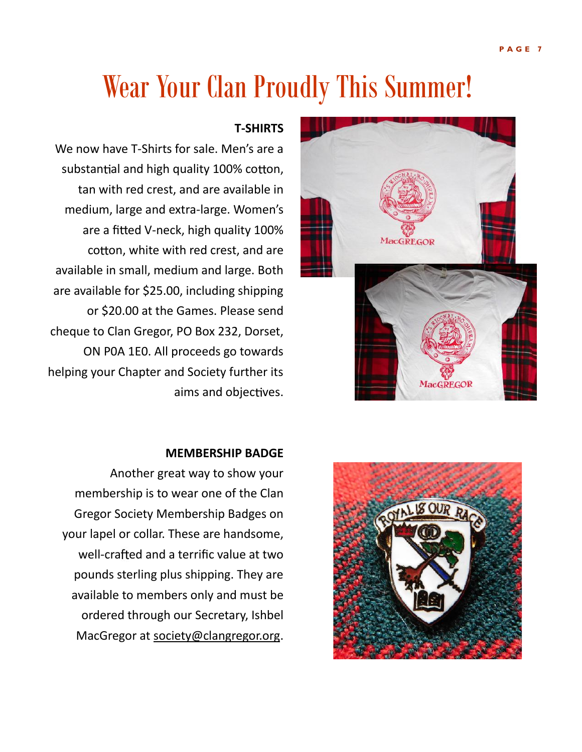### Wear Your Clan Proudly This Summer!

### **T-SHIRTS**

We now have T-Shirts for sale. Men's are a substantial and high quality 100% cotton, tan with red crest, and are available in medium, large and extra-large. Women's are a fitted V-neck, high quality 100% cotton, white with red crest, and are available in small, medium and large. Both are available for \$25.00, including shipping or \$20.00 at the Games. Please send cheque to Clan Gregor, PO Box 232, Dorset, ON P0A 1E0. All proceeds go towards helping your Chapter and Society further its aims and objectives.

### **MEMBERSHIP BADGE**

Another great way to show your membership is to wear one of the Clan Gregor Society Membership Badges on your lapel or collar. These are handsome, well-crafted and a terrific value at two pounds sterling plus shipping. They are available to members only and must be ordered through our Secretary, Ishbel MacGregor at society@clangregor.org.



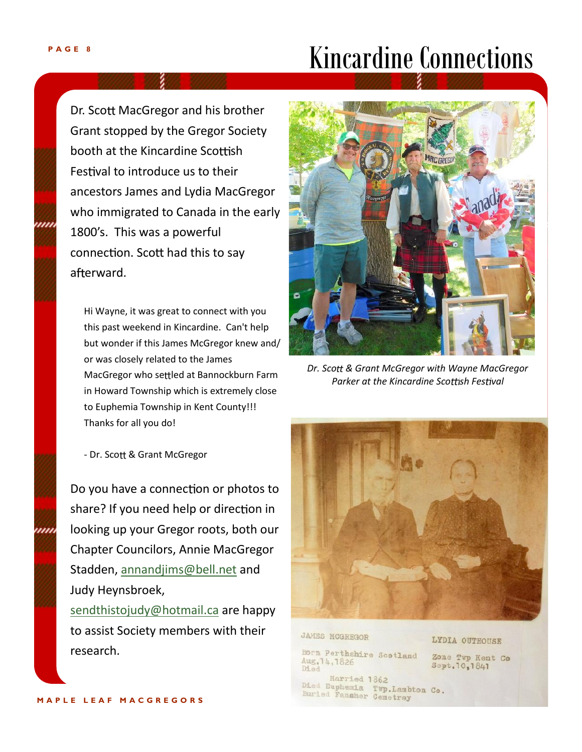### Kincardine Connections

Dr. Scott MacGregor and his brother Grant stopped by the Gregor Society booth at the Kincardine Scottish Festival to introduce us to their ancestors James and Lydia MacGregor who immigrated to Canada in the early 1800's. This was a powerful connection. Scott had this to say afterward.

*.* Hi Wayne, it was great to connect with you this past weekend in Kincardine. Can't help but wonder if this James McGregor knew and/ or was closely related to the James MacGregor who settled at Bannockburn Farm in Howard Township which is extremely close to Euphemia Township in Kent County!!! Thanks for all you do!

- Dr. Scott & Grant McGregor

Do you have a connection or photos to share? If you need help or direction in looking up your Gregor roots, both our Chapter Councilors, Annie MacGregor Stadden, annandjims@bell.net and Judy Heynsbroek,

sendthistojudy@hotmail.ca are happy to assist Society members with their research.



*Dr. Sco & Grant McGregor with Wayne MacGregor Parker at the Kincardine Scottish Festival* 



**JAMES MCGREGOR** 

Born Perthshire Scotland Aug. 14, 1826 Died

LYDIA OUTHOUSE

Zone Twp Kent Co Sept. 10, 1841

Married 1862 Died Euphemia Twp.Lambton Co.<br>Buried Fansher Cemetrey

1111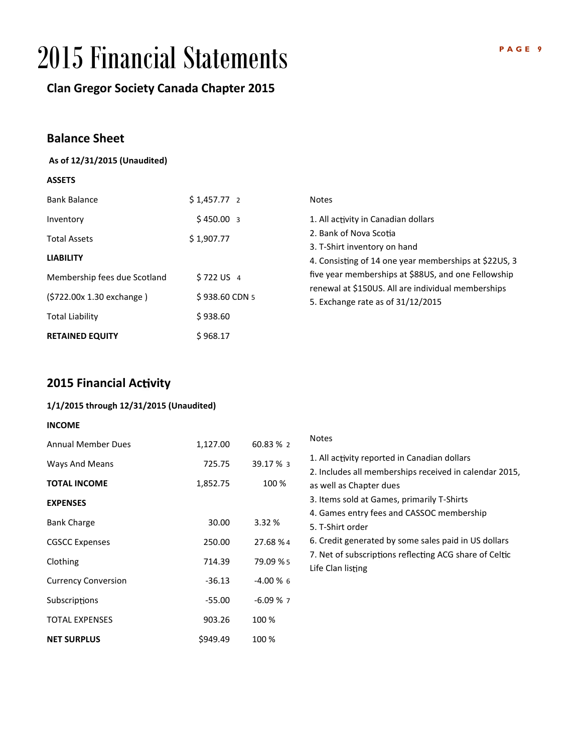## 2015 Financial Statements

### **Clan Gregor Society Canada Chapter 2015**

### **Balance Sheet**

#### **As of 12/31/2015 (Unaudited)**

### **ASSETS**

| <b>Bank Balance</b>              | $$1,457.77$ 2           | <b>Notes</b>                                                                                                                                   |  |  |
|----------------------------------|-------------------------|------------------------------------------------------------------------------------------------------------------------------------------------|--|--|
| Inventory<br><b>Total Assets</b> | \$450.003<br>\$1,907.77 | 1. All activity in Canadian dollars<br>2. Bank of Nova Scotia<br>3. T-Shirt inventory on hand                                                  |  |  |
| <b>LIABILITY</b>                 |                         | 4. Consisting of 14 one year memberships at \$22US, 3                                                                                          |  |  |
| Membership fees due Scotland     | \$722 US 4              | five year memberships at \$88US, and one Fellowship<br>renewal at \$150US. All are individual memberships<br>5. Exchange rate as of 31/12/2015 |  |  |
| (\$722.00x 1.30 exchange)        | \$938.60 CDN 5          |                                                                                                                                                |  |  |
| <b>Total Liability</b>           | \$938.60                |                                                                                                                                                |  |  |
| <b>RETAINED EQUITY</b>           | \$968.17                |                                                                                                                                                |  |  |

### **2015 Financial Activity**

#### **1/1/2015 through 12/31/2015 (Unaudited)**

#### **INCOME**

| <b>Annual Member Dues</b>  | 1,127.00 | 60.83 % 2   | Notes                |
|----------------------------|----------|-------------|----------------------|
| Ways And Means             | 725.75   | 39.17 % 3   | 1. All a<br>2. Inclu |
| <b>TOTAL INCOME</b>        | 1,852.75 | 100 %       | as well              |
| <b>EXPENSES</b>            |          |             | 3. Item              |
|                            |          | 3.32 %      | 4. Gam               |
| <b>Bank Charge</b>         | 30.00    |             | 5. T-Sh              |
| <b>CGSCC Expenses</b>      | 250.00   | 27.68 % 4   | 6. Crec              |
| Clothing                   | 714.39   | 79.09 % 5   | 7. Net<br>Life Cla   |
| <b>Currency Conversion</b> | $-36.13$ | $-4.00\%$ 6 |                      |
| Subscriptions              | $-55.00$ | $-6.09%7$   |                      |
| <b>TOTAL EXPENSES</b>      | 903.26   | 100 %       |                      |
| <b>NET SURPLUS</b>         | \$949.49 | 100 %       |                      |

| <b>Notes</b>                                                                                                                                                                                                                 |  |
|------------------------------------------------------------------------------------------------------------------------------------------------------------------------------------------------------------------------------|--|
| 1. All activity reported in Canadian dollars<br>2. Includes all memberships received in calendar 2015,<br>as well as Chapter dues<br>3. Items sold at Games, primarily T-Shirts<br>4. Games entry fees and CASSOC membership |  |
| 5. T-Shirt order<br>6. Credit generated by some sales paid in US dollars<br>7. Net of subscriptions reflecting ACG share of Celtic<br>Life Clan listing                                                                      |  |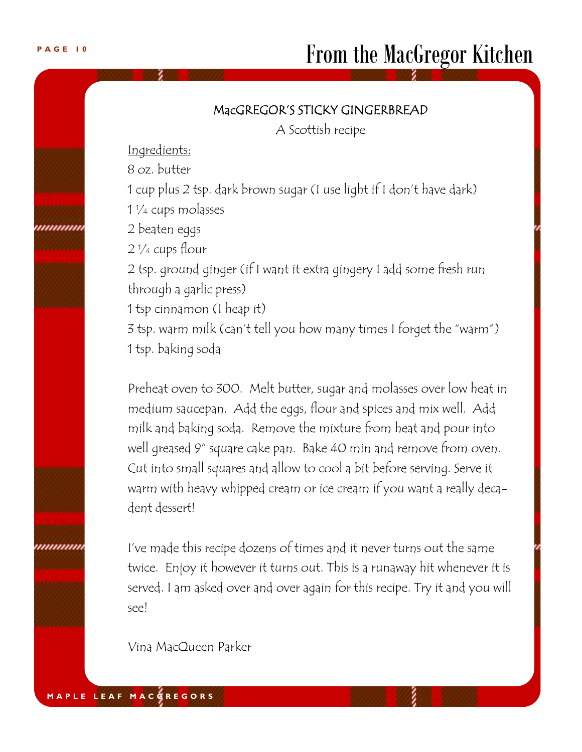### **MacGREGOR'S STICKY GINGERBREAD**

A Scottish recipe

Ingredients:

8 oz. butter

1 cup plus 2 tsp. dark brown sugar (I use light if I don't have dark) 1 ¼ cups molasses

,,,,,,,,,,

,,,,,,,,,,,

2 ¼ cups flour

2 beaten eggs

2 tsp. ground ginger (if I want it extra gingery I add some fresh run through a garlic press)

1 tsp cinnamon (I heap it)

3 tsp. warm milk (can't tell you how many times I forget the "warm") 1 tsp. baking soda

*.* medium saucepan. Add the eggs, flour and spices and mix well. Add Preheat oven to 300. Melt butter, sugar and molasses over low heat in milk and baking soda. Remove the mixture from heat and pour into well greased 9" square cake pan. Bake 40 min and remove from oven. Cut into small squares and allow to cool a bit before serving. Serve it warm with heavy whipped cream or ice cream if you want a really decadent dessert!

I've made this recipe dozens of times and it never turns out the same twice. Enjoy it however it turns out. This is a runaway hit whenever it is served. I am asked over and over again for this recipe. Try it and you will see!

Vina MacQueen Parker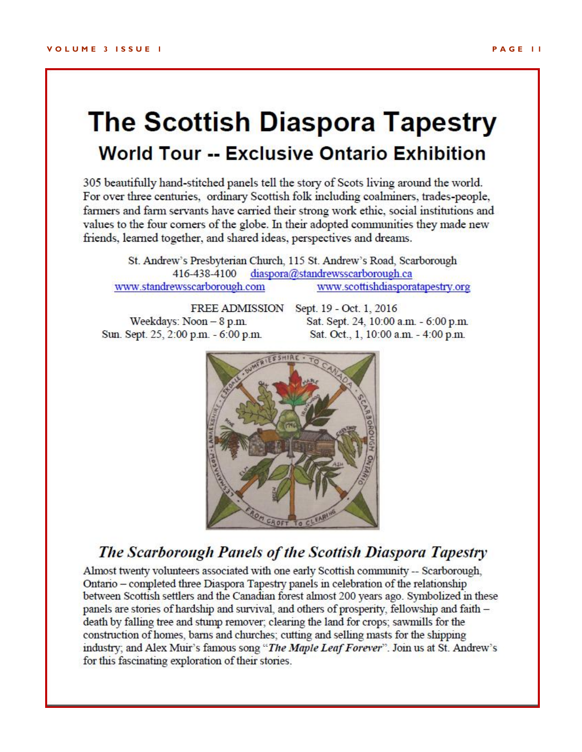### **The Scottish Diaspora Tapestry World Tour -- Exclusive Ontario Exhibition**

305 beautifully hand-stitched panels tell the story of Scots living around the world. For over three centuries, ordinary Scottish folk including coalminers, trades-people, farmers and farm servants have carried their strong work ethic, social institutions and values to the four corners of the globe. In their adopted communities they made new friends, learned together, and shared ideas, perspectives and dreams.

St. Andrew's Presbyterian Church, 115 St. Andrew's Road, Scarborough 416-438-4100 diaspora@standrewsscarborough.ca www.scottishdiasporatapestry.org www.standrewsscarborough.com

Weekdays: Noon - 8 p.m. Sun. Sept. 25, 2:00 p.m. - 6:00 p.m.

FREE ADMISSION Sept. 19 - Oct. 1, 2016 Sat. Sept. 24, 10:00 a.m. - 6:00 p.m. Sat. Oct., 1, 10:00 a.m. - 4:00 p.m.



### The Scarborough Panels of the Scottish Diaspora Tapestry

Almost twenty volunteers associated with one early Scottish community -- Scarborough, Ontario - completed three Diaspora Tapestry panels in celebration of the relationship between Scottish settlers and the Canadian forest almost 200 years ago. Symbolized in these panels are stories of hardship and survival, and others of prosperity, fellowship and faith death by falling tree and stump remover; clearing the land for crops; sawmills for the construction of homes, barns and churches; cutting and selling masts for the shipping industry; and Alex Muir's famous song "The Maple Leaf Forever". Join us at St. Andrew's for this fascinating exploration of their stories.